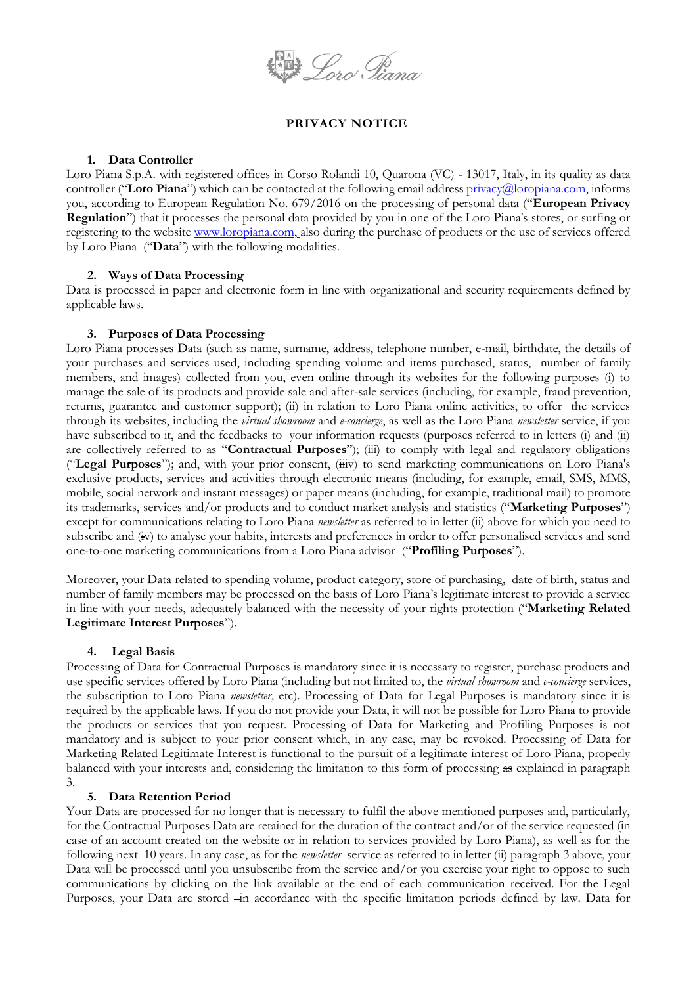

# **PRIVACY NOTICE**

#### **1. Data Controller**

Loro Piana S.p.A. with registered offices in Corso Rolandi 10, Quarona (VC) - 13017, Italy, in its quality as data controller ("Loro Piana") which can be contacted at the following email address *privacy@loropiana.com*, informs you, according to European Regulation No. 679/2016 on the processing of personal data ("**European Privacy Regulation**") that it processes the personal data provided by you in one of the Loro Piana's stores, or surfing or registering to the website [www.loropiana.com,](http://www.loropiana.com/) also during the purchase of products or the use of services offered by Loro Piana ("**Data**") with the following modalities.

## **2. Ways of Data Processing**

Data is processed in paper and electronic form in line with organizational and security requirements defined by applicable laws.

## **3. Purposes of Data Processing**

Loro Piana processes Data (such as name, surname, address, telephone number, e-mail, birthdate, the details of your purchases and services used, including spending volume and items purchased, status, number of family members, and images) collected from you, even online through its websites for the following purposes (i) to manage the sale of its products and provide sale and after-sale services (including, for example, fraud prevention, returns, guarantee and customer support); (ii) in relation to Loro Piana online activities, to offer the services through its websites, including the *virtual showroom* and *e-concierge*, as well as the Loro Piana *newsletter* service, if you have subscribed to it, and the feedbacks to your information requests (purposes referred to in letters (i) and (ii) are collectively referred to as "**Contractual Purposes**"); (iii) to comply with legal and regulatory obligations ("**Legal Purposes**"); and, with your prior consent, (iiiv) to send marketing communications on Loro Piana's exclusive products, services and activities through electronic means (including, for example, email, SMS, MMS, mobile, social network and instant messages) or paper means (including, for example, traditional mail) to promote its trademarks, services and/or products and to conduct market analysis and statistics ("**Marketing Purposes**") except for communications relating to Loro Piana *newsletter* as referred to in letter (ii) above for which you need to subscribe and (iv) to analyse your habits, interests and preferences in order to offer personalised services and send one-to-one marketing communications from a Loro Piana advisor ("**Profiling Purposes**").

Moreover, your Data related to spending volume, product category, store of purchasing, date of birth, status and number of family members may be processed on the basis of Loro Piana's legitimate interest to provide a service in line with your needs, adequately balanced with the necessity of your rights protection ("**Marketing Related Legitimate Interest Purposes**").

## **4. Legal Basis**

Processing of Data for Contractual Purposes is mandatory since it is necessary to register, purchase products and use specific services offered by Loro Piana (including but not limited to, the *virtual showroom* and *e-concierge* services, the subscription to Loro Piana *newsletter*, etc). Processing of Data for Legal Purposes is mandatory since it is required by the applicable laws. If you do not provide your Data, it will not be possible for Loro Piana to provide the products or services that you request. Processing of Data for Marketing and Profiling Purposes is not mandatory and is subject to your prior consent which, in any case, may be revoked. Processing of Data for Marketing Related Legitimate Interest is functional to the pursuit of a legitimate interest of Loro Piana, properly balanced with your interests and, considering the limitation to this form of processing as explained in paragraph 3.

## **5. Data Retention Period**

Your Data are processed for no longer that is necessary to fulfil the above mentioned purposes and, particularly, for the Contractual Purposes Data are retained for the duration of the contract and/or of the service requested (in case of an account created on the website or in relation to services provided by Loro Piana), as well as for the following next 10 years. In any case, as for the *newsletter* service as referred to in letter (ii) paragraph 3 above, your Data will be processed until you unsubscribe from the service and/or you exercise your right to oppose to such communications by clicking on the link available at the end of each communication received. For the Legal Purposes, your Data are stored  $-$ in accordance with the specific limitation periods defined by law. Data for